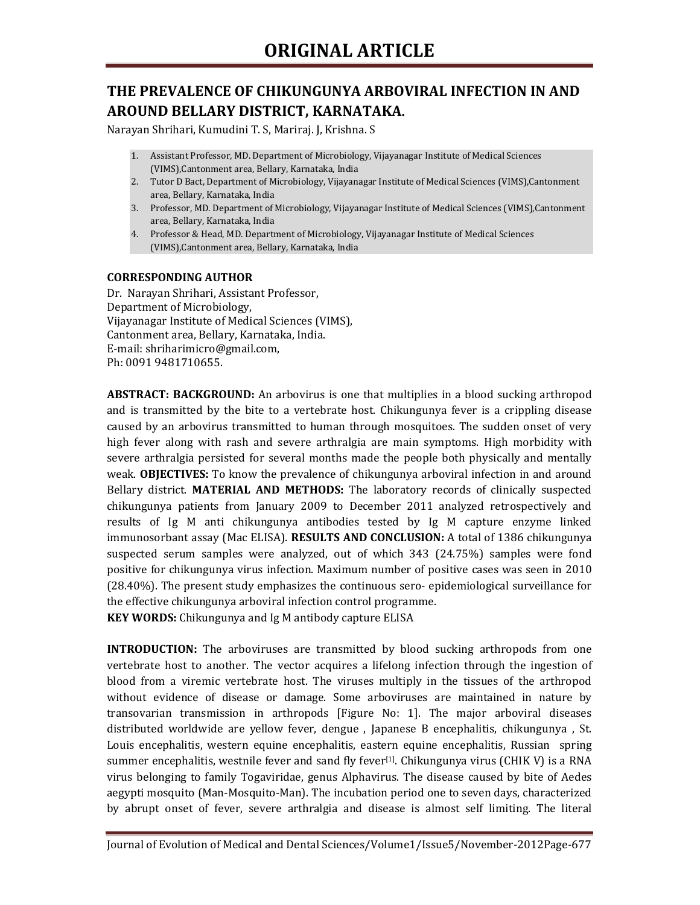## **THE PREVALENCE OF CHIKUNGUNYA ARBOVIRAL INFECTION IN AND AROUND BELLARY DISTRICT, KARNATAKA.**

Narayan Shrihari, Kumudini T. S, Mariraj. J, Krishna. S

- 1. Assistant Professor, MD. Department of Microbiology, Vijayanagar Institute of Medical Sciences (VIMS),Cantonment area, Bellary, Karnataka, India
- 2. Tutor D Bact, Department of Microbiology, Vijayanagar Institute of Medical Sciences (VIMS),Cantonment area, Bellary, Karnataka, India
- 3. Professor, MD. Department of Microbiology, Vijayanagar Institute of Medical Sciences (VIMS),Cantonment area, Bellary, Karnataka, India
- 4. Professor & Head, MD. Department of Microbiology, Vijayanagar Institute of Medical Sciences (VIMS),Cantonment area, Bellary, Karnataka, India

#### **CORRESPONDING AUTHOR**

Dr. Narayan Shrihari, Assistant Professor, Department of Microbiology, Vijayanagar Institute of Medical Sciences (VIMS), Cantonment area, Bellary, Karnataka, India. E-mail: shriharimicro@gmail.com, Ph: 0091 9481710655.

**ABSTRACT: BACKGROUND:** An arbovirus is one that multiplies in a blood sucking arthropod and is transmitted by the bite to a vertebrate host. Chikungunya fever is a crippling disease caused by an arbovirus transmitted to human through mosquitoes. The sudden onset of very high fever along with rash and severe arthralgia are main symptoms. High morbidity with severe arthralgia persisted for several months made the people both physically and mentally weak. **OBJECTIVES:** To know the prevalence of chikungunya arboviral infection in and around Bellary district. **MATERIAL AND METHODS:** The laboratory records of clinically suspected chikungunya patients from January 2009 to December 2011 analyzed retrospectively and results of Ig M anti chikungunya antibodies tested by Ig M capture enzyme linked immunosorbant assay (Mac ELISA). **RESULTS AND CONCLUSION:** A total of 1386 chikungunya suspected serum samples were analyzed, out of which 343 (24.75%) samples were fond positive for chikungunya virus infection. Maximum number of positive cases was seen in 2010 (28.40%). The present study emphasizes the continuous sero- epidemiological surveillance for the effective chikungunya arboviral infection control programme.

**KEY WORDS:** Chikungunya and Ig M antibody capture ELISA

**INTRODUCTION:** The arboviruses are transmitted by blood sucking arthropods from one vertebrate host to another. The vector acquires a lifelong infection through the ingestion of blood from a viremic vertebrate host. The viruses multiply in the tissues of the arthropod without evidence of disease or damage. Some arboviruses are maintained in nature by transovarian transmission in arthropods [Figure No: 1]. The major arboviral diseases distributed worldwide are yellow fever, dengue , Japanese B encephalitis, chikungunya , St. Louis encephalitis, western equine encephalitis, eastern equine encephalitis, Russian spring summer encephalitis, westnile fever and sand fly fever<sup>[1]</sup>. Chikungunya virus (CHIK V) is a RNA virus belonging to family Togaviridae, genus Alphavirus. The disease caused by bite of Aedes aegypti mosquito (Man-Mosquito-Man). The incubation period one to seven days, characterized by abrupt onset of fever, severe arthralgia and disease is almost self limiting. The literal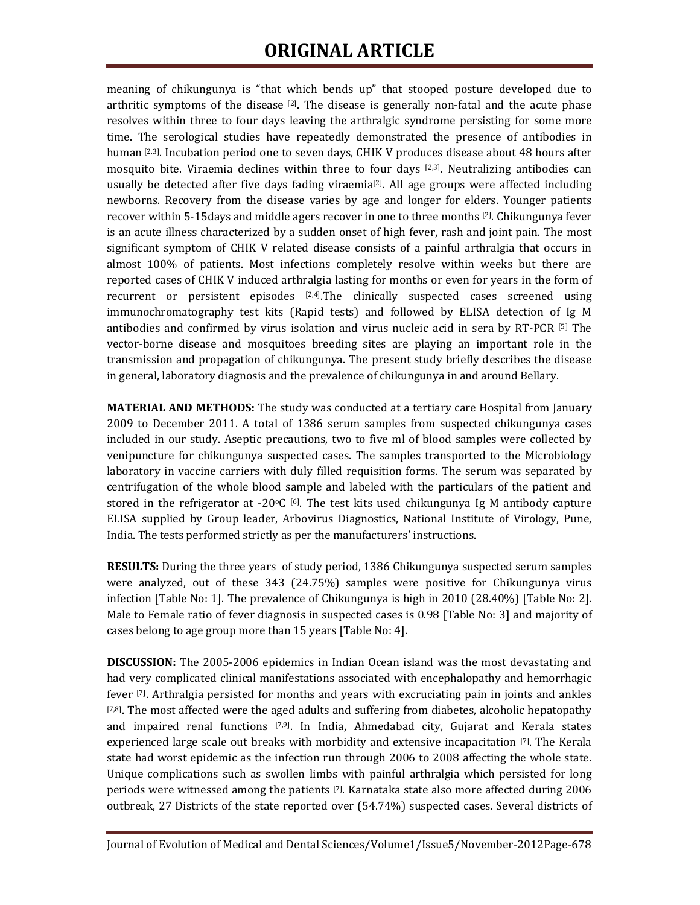# **ORIGINAL ARTICLE**

meaning of chikungunya is "that which bends up" that stooped posture developed due to arthritic symptoms of the disease  $[2]$ . The disease is generally non-fatal and the acute phase resolves within three to four days leaving the arthralgic syndrome persisting for some more time. The serological studies have repeatedly demonstrated the presence of antibodies in human [2,3]. Incubation period one to seven days, CHIK V produces disease about 48 hours after mosquito bite. Viraemia declines within three to four days  $[2,3]$ . Neutralizing antibodies can usually be detected after five days fading viraemia<sup>[2]</sup>. All age groups were affected including newborns. Recovery from the disease varies by age and longer for elders. Younger patients recover within 5-15days and middle agers recover in one to three months [2]. Chikungunya fever is an acute illness characterized by a sudden onset of high fever, rash and joint pain. The most significant symptom of CHIK V related disease consists of a painful arthralgia that occurs in almost 100% of patients. Most infections completely resolve within weeks but there are reported cases of CHIK V induced arthralgia lasting for months or even for years in the form of recurrent or persistent episodes  $[2,4]$ . The clinically suspected cases screened using immunochromatography test kits (Rapid tests) and followed by ELISA detection of Ig M antibodies and confirmed by virus isolation and virus nucleic acid in sera by RT-PCR [5] The vector-borne disease and mosquitoes breeding sites are playing an important role in the transmission and propagation of chikungunya. The present study briefly describes the disease in general, laboratory diagnosis and the prevalence of chikungunya in and around Bellary.

**MATERIAL AND METHODS:** The study was conducted at a tertiary care Hospital from January 2009 to December 2011. A total of 1386 serum samples from suspected chikungunya cases included in our study. Aseptic precautions, two to five ml of blood samples were collected by venipuncture for chikungunya suspected cases. The samples transported to the Microbiology laboratory in vaccine carriers with duly filled requisition forms. The serum was separated by centrifugation of the whole blood sample and labeled with the particulars of the patient and stored in the refrigerator at -20 $\circ$ C [6]. The test kits used chikungunya Ig M antibody capture ELISA supplied by Group leader, Arbovirus Diagnostics, National Institute of Virology, Pune, India. The tests performed strictly as per the manufacturers' instructions.

**RESULTS:** During the three years of study period, 1386 Chikungunya suspected serum samples were analyzed, out of these 343 (24.75%) samples were positive for Chikungunya virus infection [Table No: 1]. The prevalence of Chikungunya is high in 2010 (28.40%) [Table No: 2]. Male to Female ratio of fever diagnosis in suspected cases is 0.98 [Table No: 3] and majority of cases belong to age group more than 15 years [Table No: 4].

**DISCUSSION:** The 2005-2006 epidemics in Indian Ocean island was the most devastating and had very complicated clinical manifestations associated with encephalopathy and hemorrhagic fever [7]. Arthralgia persisted for months and years with excruciating pain in joints and ankles  $[7,8]$ . The most affected were the aged adults and suffering from diabetes, alcoholic hepatopathy and impaired renal functions  $[7,9]$ . In India, Ahmedabad city, Gujarat and Kerala states experienced large scale out breaks with morbidity and extensive incapacitation [7]. The Kerala state had worst epidemic as the infection run through 2006 to 2008 affecting the whole state. Unique complications such as swollen limbs with painful arthralgia which persisted for long periods were witnessed among the patients [7]. Karnataka state also more affected during 2006 outbreak, 27 Districts of the state reported over (54.74%) suspected cases. Several districts of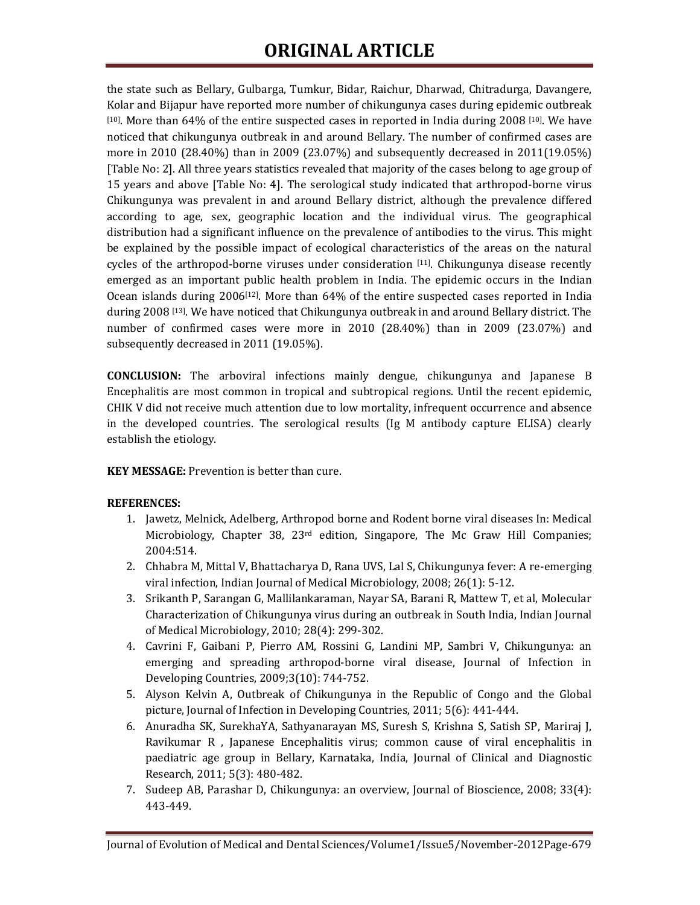the state such as Bellary, Gulbarga, Tumkur, Bidar, Raichur, Dharwad, Chitradurga, Davangere, Kolar and Bijapur have reported more number of chikungunya cases during epidemic outbreak [10]. More than 64% of the entire suspected cases in reported in India during 2008 [10]. We have noticed that chikungunya outbreak in and around Bellary. The number of confirmed cases are more in 2010 (28.40%) than in 2009 (23.07%) and subsequently decreased in 2011(19.05%) [Table No: 2]. All three years statistics revealed that majority of the cases belong to age group of 15 years and above [Table No: 4]. The serological study indicated that arthropod-borne virus Chikungunya was prevalent in and around Bellary district, although the prevalence differed according to age, sex, geographic location and the individual virus. The geographical distribution had a significant influence on the prevalence of antibodies to the virus. This might be explained by the possible impact of ecological characteristics of the areas on the natural cycles of the arthropod-borne viruses under consideration [11]. Chikungunya disease recently emerged as an important public health problem in India. The epidemic occurs in the Indian Ocean islands during 2006[12]. More than 64% of the entire suspected cases reported in India during 2008 [13]. We have noticed that Chikungunya outbreak in and around Bellary district. The number of confirmed cases were more in 2010 (28.40%) than in 2009 (23.07%) and subsequently decreased in 2011 (19.05%).

**CONCLUSION:** The arboviral infections mainly dengue, chikungunya and Japanese B Encephalitis are most common in tropical and subtropical regions. Until the recent epidemic, CHIK V did not receive much attention due to low mortality, infrequent occurrence and absence in the developed countries. The serological results (Ig M antibody capture ELISA) clearly establish the etiology.

**KEY MESSAGE:** Prevention is better than cure.

#### **REFERENCES:**

- 1. Jawetz, Melnick, Adelberg, Arthropod borne and Rodent borne viral diseases In: Medical Microbiology, Chapter 38, 23rd edition, Singapore, The Mc Graw Hill Companies; 2004:514.
- 2. Chhabra M, Mittal V, Bhattacharya D, Rana UVS, Lal S, Chikungunya fever: A re-emerging viral infection, Indian Journal of Medical Microbiology, 2008; 26(1): 5-12.
- 3. Srikanth P, Sarangan G, Mallilankaraman, Nayar SA, Barani R, Mattew T, et al, Molecular Characterization of Chikungunya virus during an outbreak in South India, Indian Journal of Medical Microbiology, 2010; 28(4): 299-302.
- 4. Cavrini F, Gaibani P, Pierro AM, Rossini G, Landini MP, Sambri V, Chikungunya: an emerging and spreading arthropod-borne viral disease, Journal of Infection in Developing Countries, 2009;3(10): 744-752.
- 5. Alyson Kelvin A, Outbreak of Chikungunya in the Republic of Congo and the Global picture, Journal of Infection in Developing Countries, 2011; 5(6): 441-444.
- 6. Anuradha SK, SurekhaYA, Sathyanarayan MS, Suresh S, Krishna S, Satish SP, Mariraj J, Ravikumar R , Japanese Encephalitis virus; common cause of viral encephalitis in paediatric age group in Bellary, Karnataka, India, Journal of Clinical and Diagnostic Research, 2011; 5(3): 480-482.
- 7. Sudeep AB, Parashar D, Chikungunya: an overview, Journal of Bioscience, 2008; 33(4): 443-449.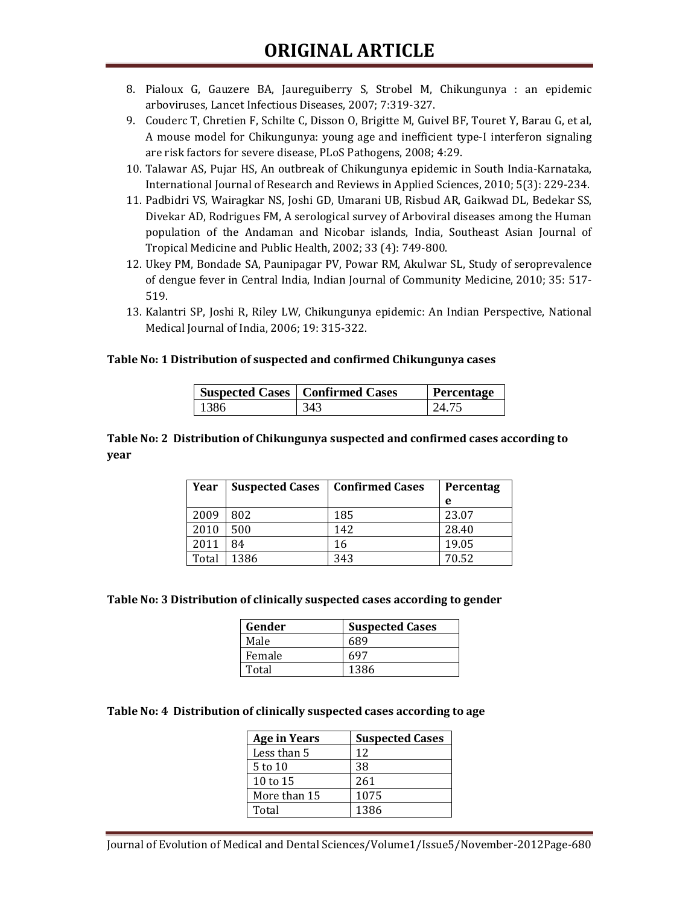- 8. Pialoux G, Gauzere BA, Jaureguiberry S, Strobel M, Chikungunya : an epidemic arboviruses, Lancet Infectious Diseases, 2007; 7:319-327.
- 9. Couderc T, Chretien F, Schilte C, Disson O, Brigitte M, Guivel BF, Touret Y, Barau G, et al, A mouse model for Chikungunya: young age and inefficient type-I interferon signaling are risk factors for severe disease, PLoS Pathogens, 2008; 4:29.
- 10. Talawar AS, Pujar HS, An outbreak of Chikungunya epidemic in South India-Karnataka, International Journal of Research and Reviews in Applied Sciences, 2010; 5(3): 229-234.
- 11. Padbidri VS, Wairagkar NS, Joshi GD, Umarani UB, Risbud AR, Gaikwad DL, Bedekar SS, Divekar AD, Rodrigues FM, A serological survey of Arboviral diseases among the Human population of the Andaman and Nicobar islands, India, Southeast Asian Journal of Tropical Medicine and Public Health, 2002; 33 (4): 749-800.
- 12. Ukey PM, Bondade SA, Paunipagar PV, Powar RM, Akulwar SL, Study of seroprevalence of dengue fever in Central India, Indian Journal of Community Medicine, 2010; 35: 517- 519.
- 13. Kalantri SP, Joshi R, Riley LW, Chikungunya epidemic: An Indian Perspective, National Medical Journal of India, 2006; 19: 315-322.

#### **Table No: 1 Distribution of suspected and confirmed Chikungunya cases**

|      | <b>Suspected Cases   Confirmed Cases</b> | Percentage |
|------|------------------------------------------|------------|
| 1386 | 343                                      | 24.75      |

**Table No: 2 Distribution of Chikungunya suspected and confirmed cases according to year** 

| Year  | <b>Suspected Cases</b> | Confirmed Cases | Percentag |
|-------|------------------------|-----------------|-----------|
|       |                        |                 | e         |
| 2009  | 802                    | 185             | 23.07     |
| 2010  | 500                    | 142             | 28.40     |
| 2011  | 84                     | 16              | 19.05     |
| Total | 1386                   | 343             | 70.52     |

**Table No: 3 Distribution of clinically suspected cases according to gender** 

| Gender | <b>Suspected Cases</b> |
|--------|------------------------|
| Male   | 689                    |
| Female | 697                    |
| Total  | 1386                   |

**Table No: 4 Distribution of clinically suspected cases according to age** 

| <b>Age in Years</b> | <b>Suspected Cases</b> |
|---------------------|------------------------|
| Less than 5         | 12                     |
| 5 to 10             | 38                     |
| 10 to 15            | 261                    |
| More than 15        | 1075                   |
| Total               | 1386                   |